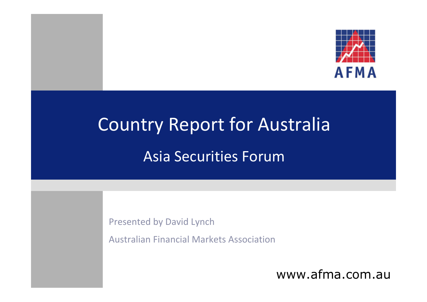

# Country Report for Australia Asia Securities Forum

Presented by David Lynch

Australian Financial Markets Association

www.afma.com.au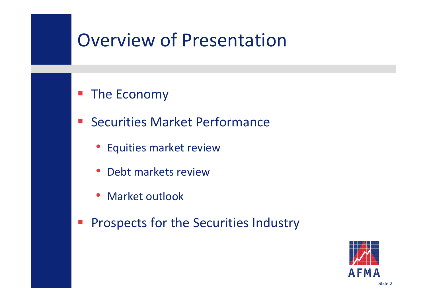### Overview of Presentation

#### $\mathcal{L}_{\mathcal{A}}$ ■ The Economy

- Securities Market Performance
	- Equities market review
	- Debt markets review
	- Market outlook
- $\mathcal{L}_{\mathcal{A}}$ Prospects for the Securities Industry

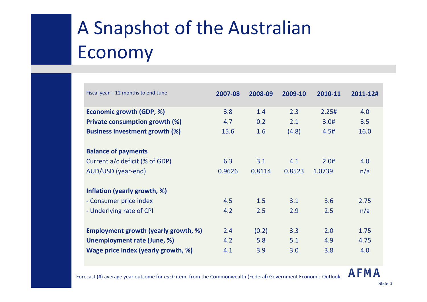## A Snapshot of the Australian Economy

| Fiscal year $-12$ months to end-June        | 2007-08 | 2008-09 | 2009-10 | 2010-11 | 2011-12# |
|---------------------------------------------|---------|---------|---------|---------|----------|
| Economic growth (GDP, %)                    | 3.8     | 1.4     | 2.3     | 2.25#   | 4.0      |
| <b>Private consumption growth (%)</b>       | 4.7     | 0.2     | 2.1     | 3.0#    | 3.5      |
| <b>Business investment growth (%)</b>       | 15.6    | 1.6     | (4.8)   | 4.5#    | 16.0     |
|                                             |         |         |         |         |          |
| <b>Balance of payments</b>                  |         |         |         |         |          |
| Current a/c deficit (% of GDP)              | 6.3     | 3.1     | 4.1     | 2.0#    | 4.0      |
| AUD/USD (year-end)                          | 0.9626  | 0.8114  | 0.8523  | 1.0739  | n/a      |
|                                             |         |         |         |         |          |
| Inflation (yearly growth, %)                |         |         |         |         |          |
| - Consumer price index                      | 4.5     | 1.5     | 3.1     | 3.6     | 2.75     |
| - Underlying rate of CPI                    | 4.2     | 2.5     | 2.9     | 2.5     | n/a      |
|                                             |         |         |         |         |          |
| <b>Employment growth (yearly growth, %)</b> | 2.4     | (0.2)   | 3.3     | 2.0     | 1.75     |
| Unemployment rate (June, %)                 | 4.2     | 5.8     | 5.1     | 4.9     | 4.75     |
| Wage price index (yearly growth, %)         | 4.1     | 3.9     | 3.0     | 3.8     | 4.0      |

#### **AFMA**

Forecast (#) average year outcome for *each* item; from the Commonwealth (Federal) Government Economic Outlook.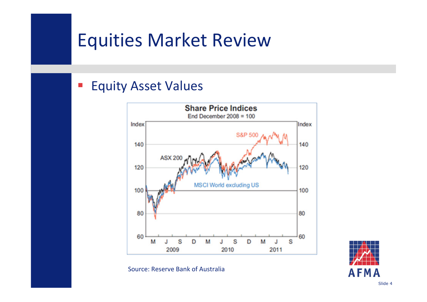### Equities Market Review

#### $\mathbb{R}^3$ Equity Asset Values



Source: Reserve Bank of Australia

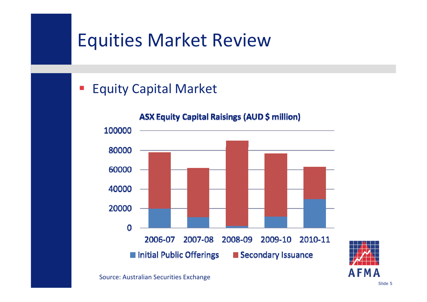### Equities Market Review

#### $\overline{\mathbb{R}^2}$ Equity Capital Market

#### **ASX Equity Capital Raisings (AUD \$ million)** 100000 80000 60000 40000 20000  $\Omega$ 2006-07 2007-08 2008-09 2009-10 2010-11 ■ Initial Public Offerings Secondary Issuance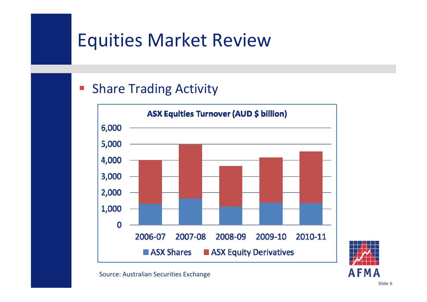### Equities Market Review

#### $\overline{\mathbb{R}^2}$ **Share Trading Activity**

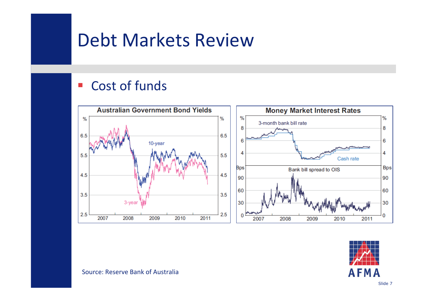### Debt Markets Review

#### $\mathcal{L}_{\mathcal{A}}$ Cost of funds





Source: Reserve Bank of Australia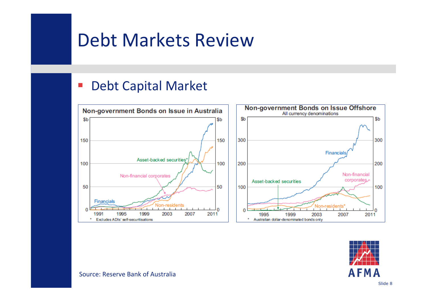### Debt Markets Review

#### $\mathcal{L}_{\mathcal{A}}$ Debt Capital Market



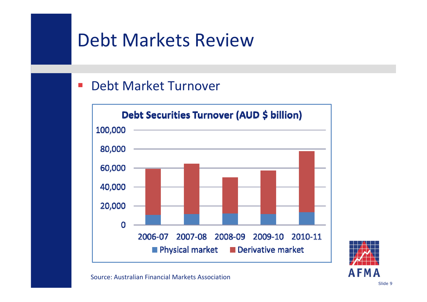### Debt Markets Review

#### $\mathcal{L}_{\mathcal{A}}$ Debt Market Turnover





Source: Australian Financial Markets Association